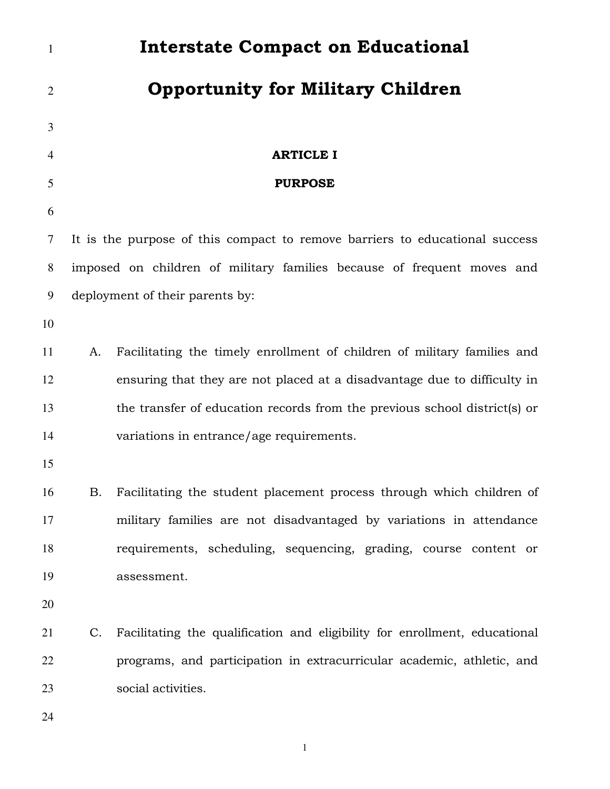| $\mathbf{1}$   |    | <b>Interstate Compact on Educational</b>                                    |
|----------------|----|-----------------------------------------------------------------------------|
| $\overline{2}$ |    | <b>Opportunity for Military Children</b>                                    |
| 3              |    |                                                                             |
| 4              |    | <b>ARTICLE I</b>                                                            |
| 5              |    | <b>PURPOSE</b>                                                              |
| 6              |    |                                                                             |
| 7              |    | It is the purpose of this compact to remove barriers to educational success |
| 8              |    | imposed on children of military families because of frequent moves and      |
| 9              |    | deployment of their parents by:                                             |
| 10             |    |                                                                             |
| 11             | A. | Facilitating the timely enrollment of children of military families and     |
| 12             |    | ensuring that they are not placed at a disadvantage due to difficulty in    |
| 13             |    | the transfer of education records from the previous school district(s) or   |
| 14             |    | variations in entrance/age requirements.                                    |
| 15             |    |                                                                             |
| 16             | Β. | Facilitating the student placement process through which children of        |
| 17             |    | military families are not disadvantaged by variations in attendance         |
| 18             |    | requirements, scheduling, sequencing, grading, course content or            |
| 19             |    | assessment.                                                                 |
| 20             |    |                                                                             |
| 21             | C. | Facilitating the qualification and eligibility for enrollment, educational  |
| 22             |    | programs, and participation in extracurricular academic, athletic, and      |
| 23             |    | social activities.                                                          |
| 24             |    |                                                                             |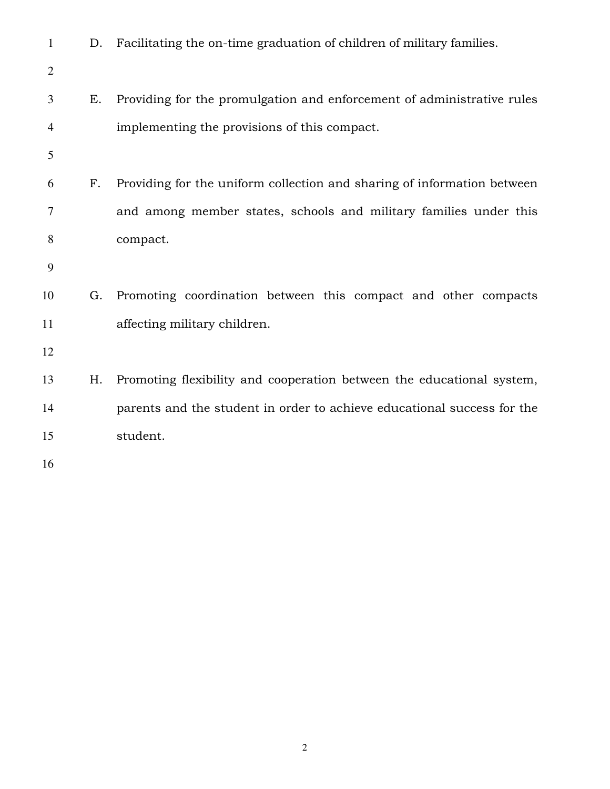| $\mathbf{1}$ | D. | Facilitating the on-time graduation of children of military families.   |
|--------------|----|-------------------------------------------------------------------------|
| $\mathbf{2}$ |    |                                                                         |
| 3            | Ε. | Providing for the promulgation and enforcement of administrative rules  |
| 4            |    | implementing the provisions of this compact.                            |
| 5            |    |                                                                         |
| 6            | F. | Providing for the uniform collection and sharing of information between |
| 7            |    | and among member states, schools and military families under this       |
| 8            |    | compact.                                                                |
| 9            |    |                                                                         |
| 10           | G. | Promoting coordination between this compact and other compacts          |
| 11           |    | affecting military children.                                            |
| 12           |    |                                                                         |
| 13           | Η. | Promoting flexibility and cooperation between the educational system,   |
| 14           |    | parents and the student in order to achieve educational success for the |
| 15           |    | student.                                                                |
| 16           |    |                                                                         |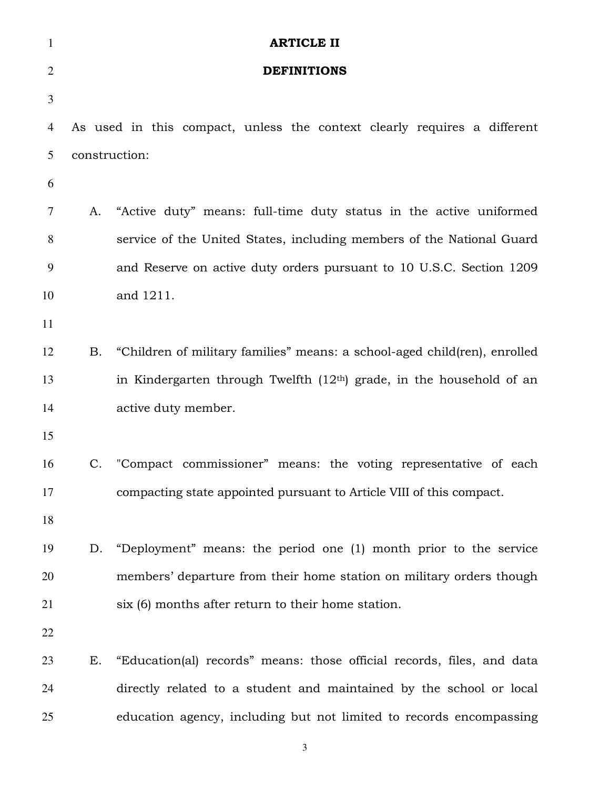| $\mathbf{1}$   |               | <b>ARTICLE II</b>                                                         |
|----------------|---------------|---------------------------------------------------------------------------|
| $\overline{2}$ |               | <b>DEFINITIONS</b>                                                        |
| 3              |               |                                                                           |
| 4              |               | As used in this compact, unless the context clearly requires a different  |
| 5              | construction: |                                                                           |
| 6              |               |                                                                           |
| 7              | A.            | "Active duty" means: full-time duty status in the active uniformed        |
| 8              |               | service of the United States, including members of the National Guard     |
| 9              |               | and Reserve on active duty orders pursuant to 10 U.S.C. Section 1209      |
| 10             |               | and 1211.                                                                 |
| 11             |               |                                                                           |
| 12             | Β.            | "Children of military families" means: a school-aged child(ren), enrolled |
| 13             |               | in Kindergarten through Twelfth $(12th)$ grade, in the household of an    |
| 14             |               | active duty member.                                                       |
| 15             |               |                                                                           |
| 16             |               | C. "Compact commissioner" means: the voting representative of each        |
| 17             |               | compacting state appointed pursuant to Article VIII of this compact.      |
| 18             |               |                                                                           |
| 19             | D.            | "Deployment" means: the period one (1) month prior to the service         |
| 20             |               | members' departure from their home station on military orders though      |
| 21             |               | six (6) months after return to their home station.                        |
| 22             |               |                                                                           |
| 23             | Е.            | "Education(al) records" means: those official records, files, and data    |
| 24             |               | directly related to a student and maintained by the school or local       |
| 25             |               | education agency, including but not limited to records encompassing       |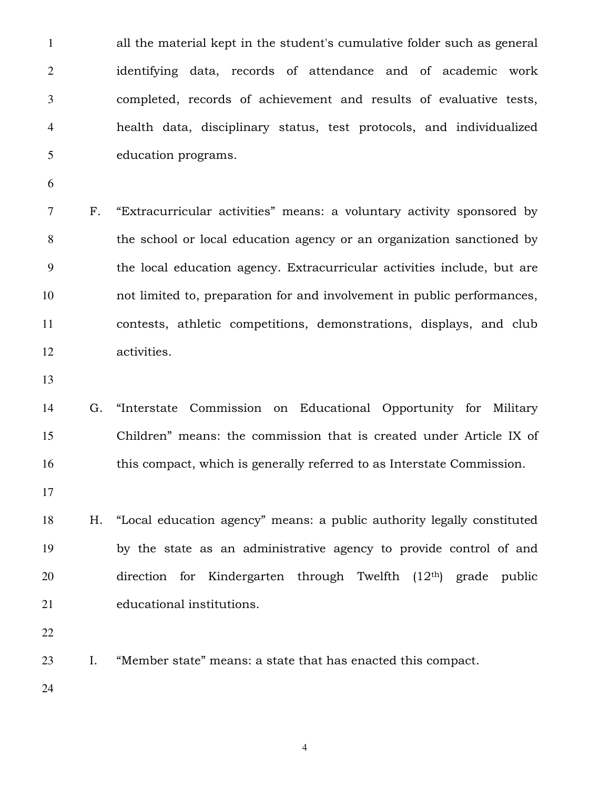all the material kept in the student's cumulative folder such as general identifying data, records of attendance and of academic work completed, records of achievement and results of evaluative tests, health data, disciplinary status, test protocols, and individualized education programs.

F. "Extracurricular activities" means: a voluntary activity sponsored by the school or local education agency or an organization sanctioned by the local education agency. Extracurricular activities include, but are not limited to, preparation for and involvement in public performances, contests, athletic competitions, demonstrations, displays, and club activities.

G. "Interstate Commission on Educational Opportunity for Military Children" means: the commission that is created under Article IX of this compact, which is generally referred to as Interstate Commission.

H. "Local education agency" means: a public authority legally constituted by the state as an administrative agency to provide control of and 20 direction for Kindergarten through Twelfth  $(12<sup>th</sup>)$  grade public educational institutions.

I. "Member state" means: a state that has enacted this compact.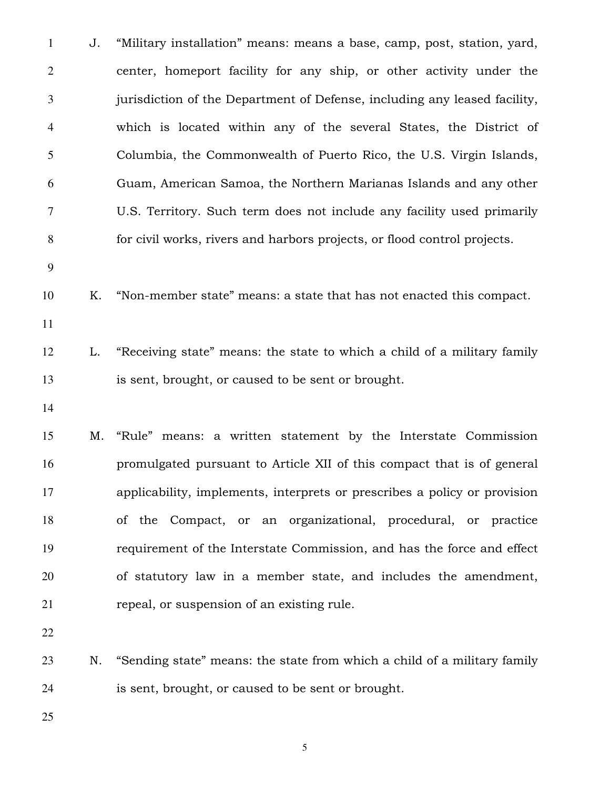J. "Military installation" means: means a base, camp, post, station, yard, center, homeport facility for any ship, or other activity under the jurisdiction of the Department of Defense, including any leased facility, which is located within any of the several States, the District of Columbia, the Commonwealth of Puerto Rico, the U.S. Virgin Islands, Guam, American Samoa, the Northern Marianas Islands and any other U.S. Territory. Such term does not include any facility used primarily for civil works, rivers and harbors projects, or flood control projects. K. "Non-member state" means: a state that has not enacted this compact. L. "Receiving state" means: the state to which a child of a military family is sent, brought, or caused to be sent or brought. M. "Rule" means: a written statement by the Interstate Commission promulgated pursuant to Article XII of this compact that is of general applicability, implements, interprets or prescribes a policy or provision of the Compact, or an organizational, procedural, or practice requirement of the Interstate Commission, and has the force and effect of statutory law in a member state, and includes the amendment, repeal, or suspension of an existing rule. N. "Sending state" means: the state from which a child of a military family is sent, brought, or caused to be sent or brought.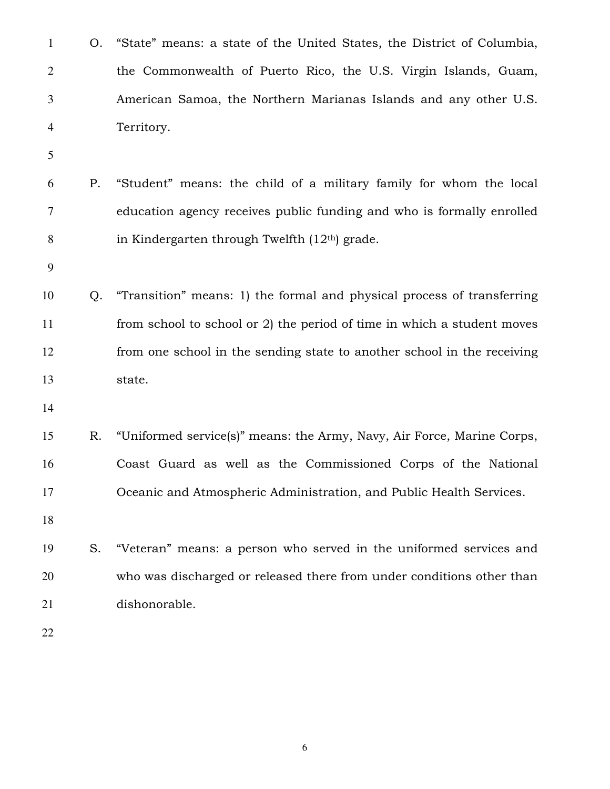| $\mathbf{1}$   | Ο. | "State" means: a state of the United States, the District of Columbia,  |
|----------------|----|-------------------------------------------------------------------------|
| $\overline{2}$ |    | the Commonwealth of Puerto Rico, the U.S. Virgin Islands, Guam,         |
| 3              |    | American Samoa, the Northern Marianas Islands and any other U.S.        |
| 4              |    | Territory.                                                              |
| 5              |    |                                                                         |
| 6              | Ρ. | "Student" means: the child of a military family for whom the local      |
| 7              |    | education agency receives public funding and who is formally enrolled   |
| 8              |    | in Kindergarten through Twelfth $(12th)$ grade.                         |
| 9              |    |                                                                         |
| 10             | Q. | "Transition" means: 1) the formal and physical process of transferring  |
| 11             |    | from school to school or 2) the period of time in which a student moves |
| 12             |    | from one school in the sending state to another school in the receiving |
| 13             |    | state.                                                                  |
| 14             |    |                                                                         |
| 15             | R. | "Uniformed service(s)" means: the Army, Navy, Air Force, Marine Corps,  |
| 16             |    | Coast Guard as well as the Commissioned Corps of the National           |
| 17             |    | Oceanic and Atmospheric Administration, and Public Health Services.     |
| 18             |    |                                                                         |
| 19             | S. | "Veteran" means: a person who served in the uniformed services and      |
| 20             |    | who was discharged or released there from under conditions other than   |
| 21             |    | dishonorable.                                                           |
| 22             |    |                                                                         |
|                |    |                                                                         |

 $\overline{6}$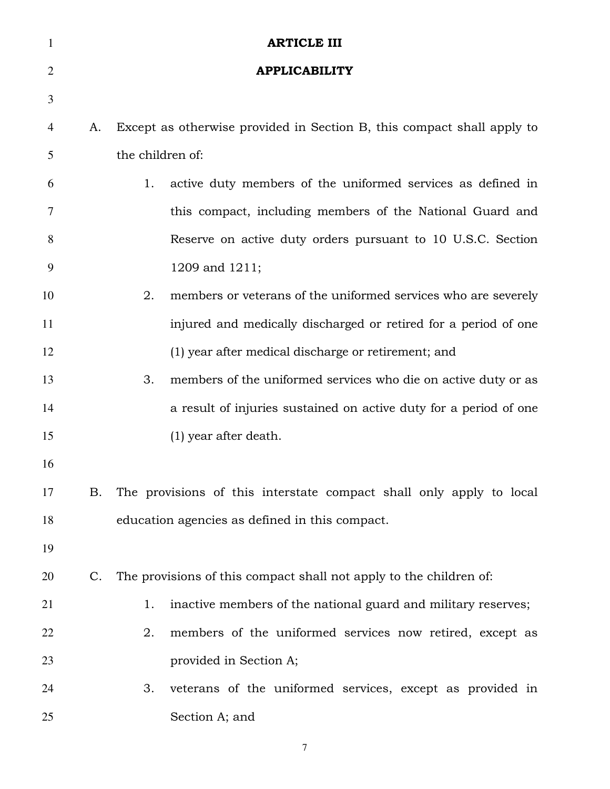| $\mathbf{1}$   |    | <b>ARTICLE III</b>                                                     |
|----------------|----|------------------------------------------------------------------------|
| $\overline{2}$ |    | <b>APPLICABILITY</b>                                                   |
| 3              |    |                                                                        |
| 4              | A. | Except as otherwise provided in Section B, this compact shall apply to |
| 5              |    | the children of:                                                       |
| 6              |    | active duty members of the uniformed services as defined in<br>1.      |
| 7              |    | this compact, including members of the National Guard and              |
| 8              |    | Reserve on active duty orders pursuant to 10 U.S.C. Section            |
| 9              |    | 1209 and 1211;                                                         |
| 10             |    | members or veterans of the uniformed services who are severely<br>2.   |
| 11             |    | injured and medically discharged or retired for a period of one        |
| 12             |    | (1) year after medical discharge or retirement; and                    |
| 13             |    | 3.<br>members of the uniformed services who die on active duty or as   |
| 14             |    | a result of injuries sustained on active duty for a period of one      |
| 15             |    | (1) year after death.                                                  |
| 16             |    |                                                                        |
| 17             | Β. | The provisions of this interstate compact shall only apply to local    |
| 18             |    | education agencies as defined in this compact.                         |
| 19             |    |                                                                        |
| 20             | C. | The provisions of this compact shall not apply to the children of:     |
| 21             |    | inactive members of the national guard and military reserves;<br>1.    |
| 22             |    | 2.<br>members of the uniformed services now retired, except as         |
| 23             |    | provided in Section A;                                                 |
| 24             |    | veterans of the uniformed services, except as provided in<br>3.        |
| 25             |    | Section A; and                                                         |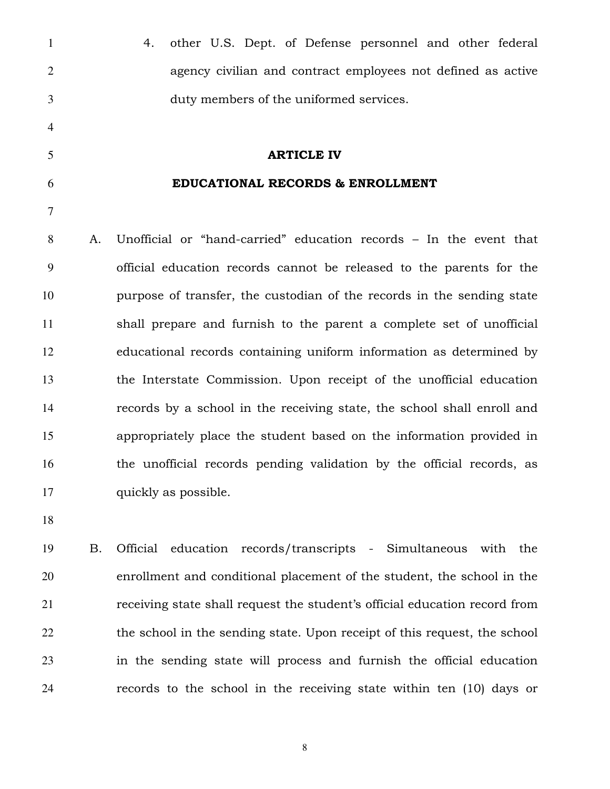| $\mathbf{1}$   |    | other U.S. Dept. of Defense personnel and other federal<br>4.           |
|----------------|----|-------------------------------------------------------------------------|
| $\overline{2}$ |    | agency civilian and contract employees not defined as active            |
| 3              |    | duty members of the uniformed services.                                 |
| $\overline{4}$ |    |                                                                         |
| 5              |    | <b>ARTICLE IV</b>                                                       |
| 6              |    | EDUCATIONAL RECORDS & ENROLLMENT                                        |
| 7              |    |                                                                         |
| 8              | Α. | Unofficial or "hand-carried" education records - In the event that      |
| 9              |    | official education records cannot be released to the parents for the    |
| 10             |    | purpose of transfer, the custodian of the records in the sending state  |
| 11             |    | shall prepare and furnish to the parent a complete set of unofficial    |
| 12             |    | educational records containing uniform information as determined by     |
| 13             |    | the Interstate Commission. Upon receipt of the unofficial education     |
| 14             |    | records by a school in the receiving state, the school shall enroll and |
| 15             |    | appropriately place the student based on the information provided in    |
| 16             |    | the unofficial records pending validation by the official records, as   |
| 17             |    | quickly as possible.                                                    |
| 18             |    |                                                                         |
| 19             | B. | Official education records/transcripts - Simultaneous<br>with the       |

enrollment and conditional placement of the student, the school in the receiving state shall request the student's official education record from 22 the school in the sending state. Upon receipt of this request, the school in the sending state will process and furnish the official education records to the school in the receiving state within ten (10) days or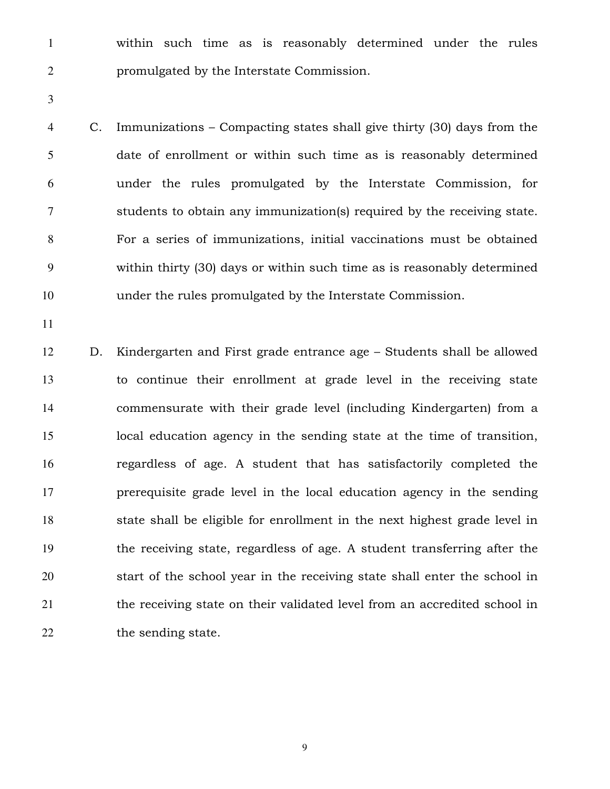within such time as is reasonably determined under the rules promulgated by the Interstate Commission.

C. Immunizations – Compacting states shall give thirty (30) days from the date of enrollment or within such time as is reasonably determined under the rules promulgated by the Interstate Commission, for students to obtain any immunization(s) required by the receiving state. For a series of immunizations, initial vaccinations must be obtained within thirty (30) days or within such time as is reasonably determined under the rules promulgated by the Interstate Commission.

D. Kindergarten and First grade entrance age – Students shall be allowed to continue their enrollment at grade level in the receiving state commensurate with their grade level (including Kindergarten) from a local education agency in the sending state at the time of transition, regardless of age. A student that has satisfactorily completed the prerequisite grade level in the local education agency in the sending state shall be eligible for enrollment in the next highest grade level in the receiving state, regardless of age. A student transferring after the start of the school year in the receiving state shall enter the school in the receiving state on their validated level from an accredited school in 22 the sending state.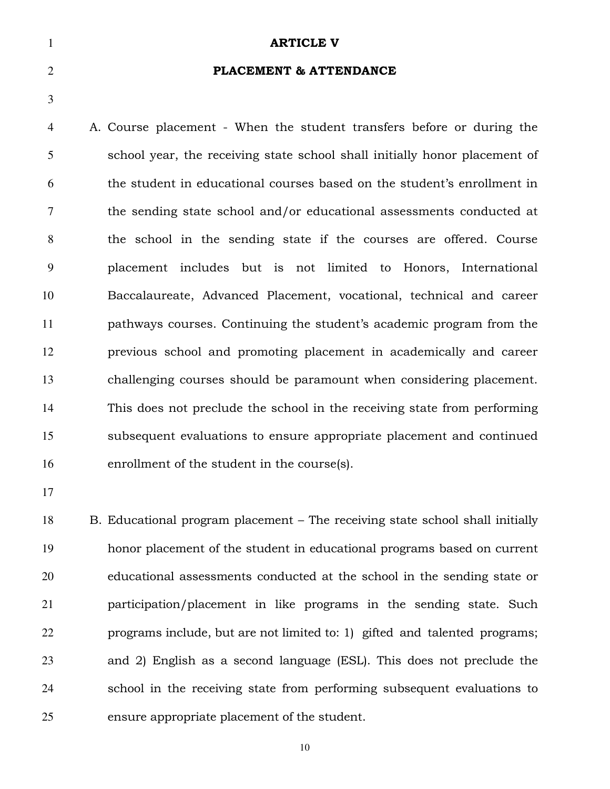**ARTICLE V** PLACEMENT & ATTENDANCE A. Course placement - When the student transfers before or during the school year, the receiving state school shall initially honor placement of the student in educational courses based on the student's enrollment in the sending state school and/or educational assessments conducted at the school in the sending state if the courses are offered. Course placement includes but is not limited to Honors, International Baccalaureate, Advanced Placement, vocational, technical and career pathways courses. Continuing the student's academic program from the previous school and promoting placement in academically and career challenging courses should be paramount when considering placement. This does not preclude the school in the receiving state from performing subsequent evaluations to ensure appropriate placement and continued enrollment of the student in the course(s).

B. Educational program placement – The receiving state school shall initially honor placement of the student in educational programs based on current educational assessments conducted at the school in the sending state or participation/placement in like programs in the sending state. Such programs include, but are not limited to: 1) gifted and talented programs; and 2) English as a second language (ESL). This does not preclude the school in the receiving state from performing subsequent evaluations to ensure appropriate placement of the student.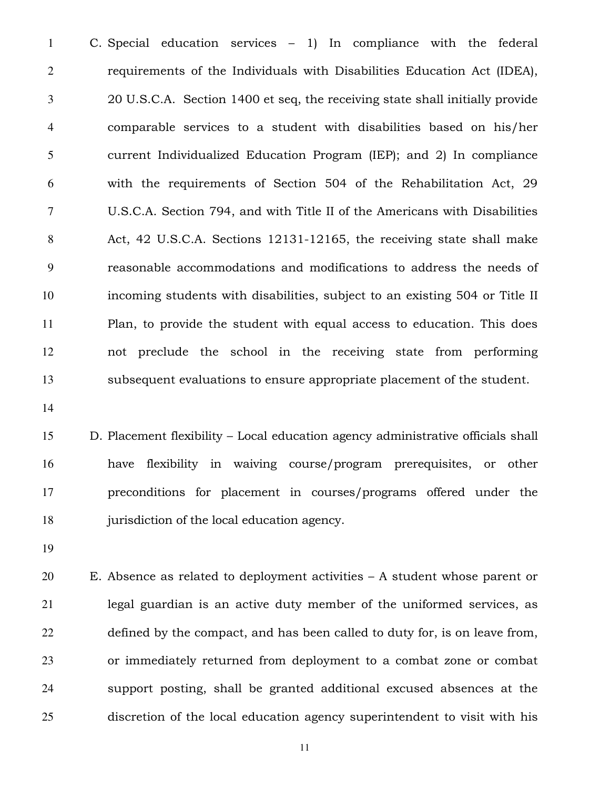C. Special education services – 1) In compliance with the federal requirements of the Individuals with Disabilities Education Act (IDEA), 20 U.S.C.A. Section 1400 et seq, the receiving state shall initially provide comparable services to a student with disabilities based on his/her current Individualized Education Program (IEP); and 2) In compliance with the requirements of Section 504 of the Rehabilitation Act, 29 U.S.C.A. Section 794, and with Title II of the Americans with Disabilities Act, 42 U.S.C.A. Sections 12131-12165, the receiving state shall make reasonable accommodations and modifications to address the needs of incoming students with disabilities, subject to an existing 504 or Title II Plan, to provide the student with equal access to education. This does not preclude the school in the receiving state from performing subsequent evaluations to ensure appropriate placement of the student.

D. Placement flexibility – Local education agency administrative officials shall have flexibility in waiving course/program prerequisites, or other preconditions for placement in courses/programs offered under the jurisdiction of the local education agency.

E. Absence as related to deployment activities – A student whose parent or legal guardian is an active duty member of the uniformed services, as defined by the compact, and has been called to duty for, is on leave from, or immediately returned from deployment to a combat zone or combat support posting, shall be granted additional excused absences at the discretion of the local education agency superintendent to visit with his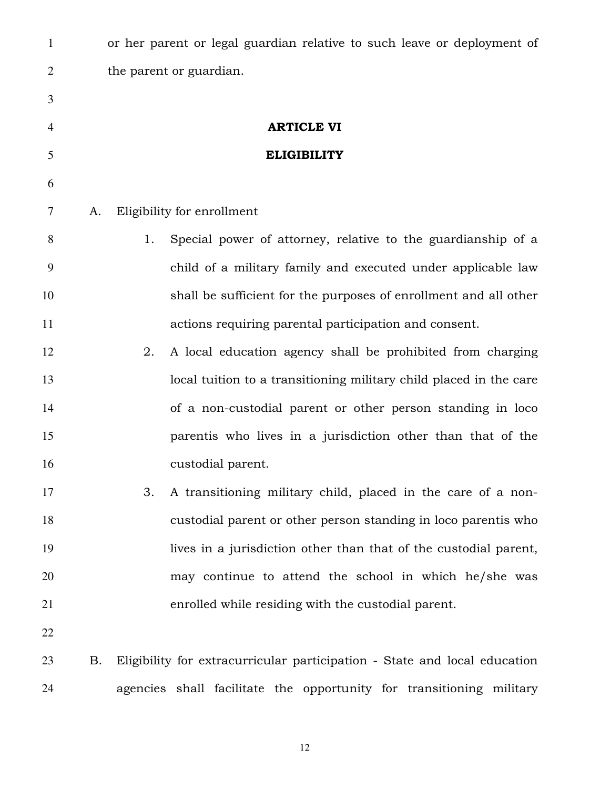| $\mathbf{1}$   |    |    | or her parent or legal guardian relative to such leave or deployment of   |
|----------------|----|----|---------------------------------------------------------------------------|
| $\overline{2}$ |    |    | the parent or guardian.                                                   |
| 3              |    |    |                                                                           |
| $\overline{4}$ |    |    | <b>ARTICLE VI</b>                                                         |
| 5              |    |    | <b>ELIGIBILITY</b>                                                        |
| 6              |    |    |                                                                           |
| 7              | A. |    | Eligibility for enrollment                                                |
| 8              |    | 1. | Special power of attorney, relative to the guardianship of a              |
| 9              |    |    | child of a military family and executed under applicable law              |
| 10             |    |    | shall be sufficient for the purposes of enrollment and all other          |
| 11             |    |    | actions requiring parental participation and consent.                     |
| 12             |    | 2. | A local education agency shall be prohibited from charging                |
| 13             |    |    | local tuition to a transitioning military child placed in the care        |
| 14             |    |    | of a non-custodial parent or other person standing in loco                |
| 15             |    |    | parentis who lives in a jurisdiction other than that of the               |
| 16             |    |    | custodial parent.                                                         |
| 17             |    | 3. | A transitioning military child, placed in the care of a non-              |
| 18             |    |    | custodial parent or other person standing in loco parentis who            |
| 19             |    |    | lives in a jurisdiction other than that of the custodial parent,          |
| 20             |    |    | may continue to attend the school in which he/she was                     |
| 21             |    |    | enrolled while residing with the custodial parent.                        |
| 22             |    |    |                                                                           |
| 23             | Β. |    | Eligibility for extracurricular participation - State and local education |
| 24             |    |    | agencies shall facilitate the opportunity for transitioning military      |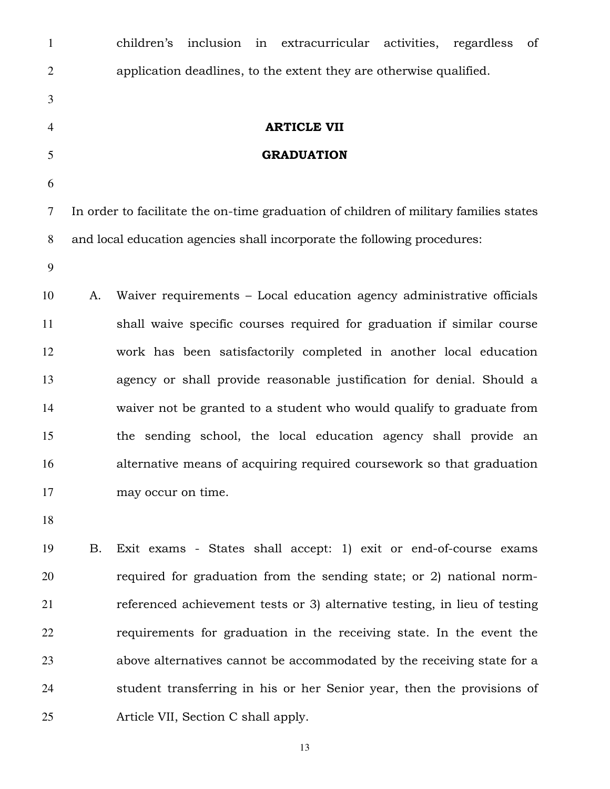| $\mathbf{1}$   |    | children's<br>inclusion<br>in extracurricular activities,<br>of<br>regardless         |
|----------------|----|---------------------------------------------------------------------------------------|
| $\overline{2}$ |    | application deadlines, to the extent they are otherwise qualified.                    |
| $\mathfrak{Z}$ |    |                                                                                       |
| 4              |    | <b>ARTICLE VII</b>                                                                    |
| 5              |    | <b>GRADUATION</b>                                                                     |
| 6              |    |                                                                                       |
| 7              |    | In order to facilitate the on-time graduation of children of military families states |
| 8              |    | and local education agencies shall incorporate the following procedures:              |
| 9              |    |                                                                                       |
| 10             | A. | Waiver requirements - Local education agency administrative officials                 |
| 11             |    | shall waive specific courses required for graduation if similar course                |
| 12             |    | work has been satisfactorily completed in another local education                     |
| 13             |    | agency or shall provide reasonable justification for denial. Should a                 |
| 14             |    | waiver not be granted to a student who would qualify to graduate from                 |
| 15             |    | the sending school, the local education agency shall provide an                       |
| 16             |    | alternative means of acquiring required coursework so that graduation                 |
| 17             |    | may occur on time.                                                                    |
| 18             |    |                                                                                       |
| 19             | Β. | Exit exams - States shall accept: 1) exit or end-of-course exams                      |
| 20             |    | required for graduation from the sending state; or 2) national norm-                  |
| 21             |    | referenced achievement tests or 3) alternative testing, in lieu of testing            |
| 22             |    | requirements for graduation in the receiving state. In the event the                  |
| 23             |    | above alternatives cannot be accommodated by the receiving state for a                |
| 24             |    | student transferring in his or her Senior year, then the provisions of                |
| 25             |    | Article VII, Section C shall apply.                                                   |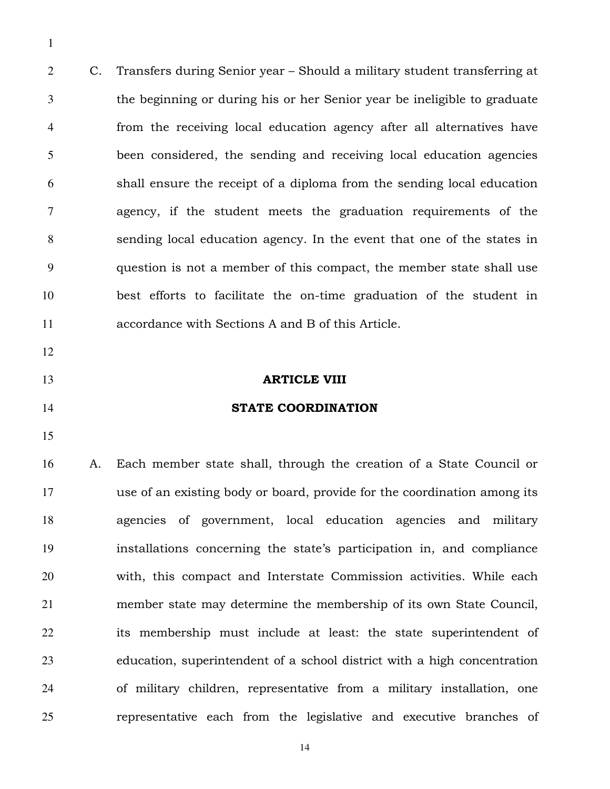C. Transfers during Senior year – Should a military student transferring at the beginning or during his or her Senior year be ineligible to graduate from the receiving local education agency after all alternatives have been considered, the sending and receiving local education agencies shall ensure the receipt of a diploma from the sending local education agency, if the student meets the graduation requirements of the sending local education agency. In the event that one of the states in question is not a member of this compact, the member state shall use best efforts to facilitate the on-time graduation of the student in accordance with Sections A and B of this Article.

- 
- 
- 

#### **ARTICLE VIII**

### **STATE COORDINATION**

A. Each member state shall, through the creation of a State Council or use of an existing body or board, provide for the coordination among its agencies of government, local education agencies and military installations concerning the state's participation in, and compliance with, this compact and Interstate Commission activities. While each member state may determine the membership of its own State Council, its membership must include at least: the state superintendent of education, superintendent of a school district with a high concentration of military children, representative from a military installation, one representative each from the legislative and executive branches of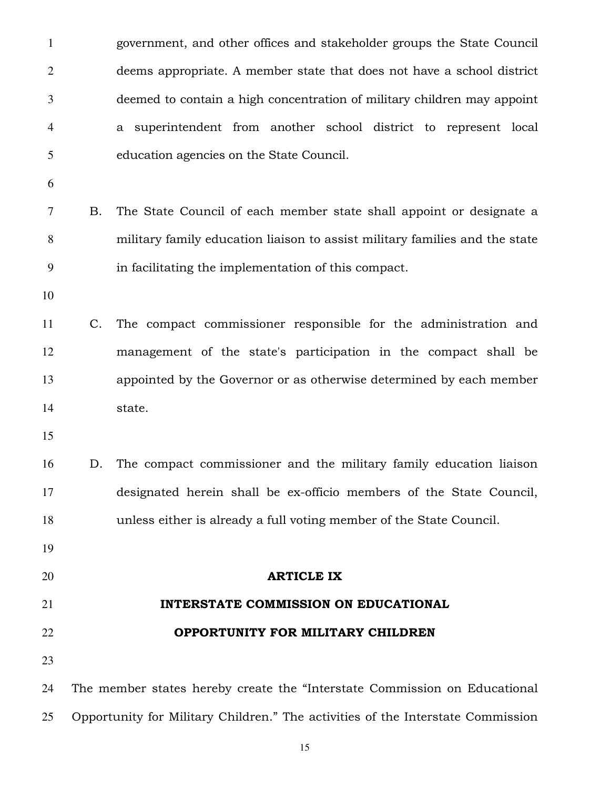government, and other offices and stakeholder groups the State Council deems appropriate. A member state that does not have a school district deemed to contain a high concentration of military children may appoint a superintendent from another school district to represent local education agencies on the State Council. B. The State Council of each member state shall appoint or designate a military family education liaison to assist military families and the state in facilitating the implementation of this compact. C. The compact commissioner responsible for the administration and management of the state's participation in the compact shall be appointed by the Governor or as otherwise determined by each member state. D. The compact commissioner and the military family education liaison designated herein shall be ex-officio members of the State Council, unless either is already a full voting member of the State Council. ARTICLE IX **INTERSTATE COMMISSION ON EDUCATIONAL OPPORTUNITY FOR MILITARY CHILDREN**  The member states hereby create the "Interstate Commission on Educational Opportunity for Military Children." The activities of the Interstate Commission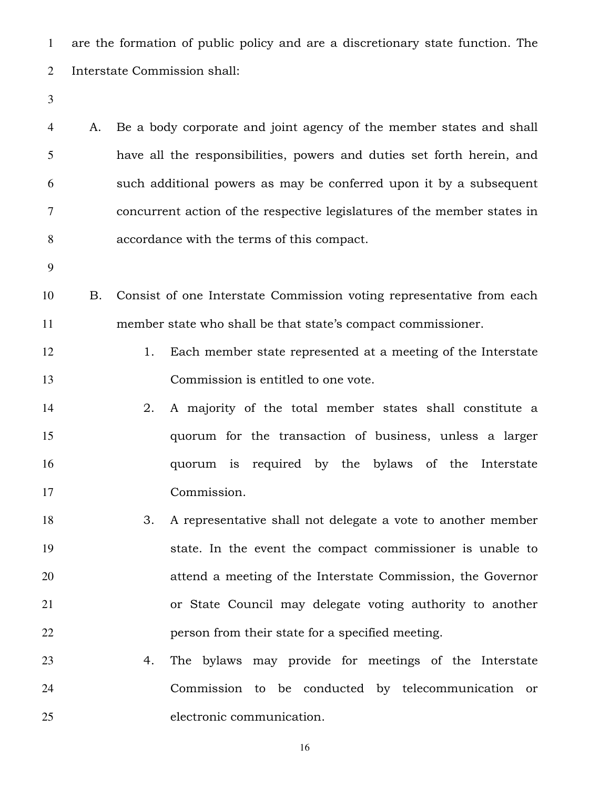are the formation of public policy and are a discretionary state function. The Interstate Commission shall:

A. Be a body corporate and joint agency of the member states and shall have all the responsibilities, powers and duties set forth herein, and such additional powers as may be conferred upon it by a subsequent concurrent action of the respective legislatures of the member states in accordance with the terms of this compact.

B. Consist of one Interstate Commission voting representative from each member state who shall be that state's compact commissioner.

- 12 1. Each member state represented at a meeting of the Interstate Commission is entitled to one vote.
- 2. A majority of the total member states shall constitute a quorum for the transaction of business, unless a larger quorum is required by the bylaws of the Interstate Commission.
- 3. A representative shall not delegate a vote to another member state. In the event the compact commissioner is unable to attend a meeting of the Interstate Commission, the Governor or State Council may delegate voting authority to another person from their state for a specified meeting.
- 4. The bylaws may provide for meetings of the Interstate Commission to be conducted by telecommunication or electronic communication.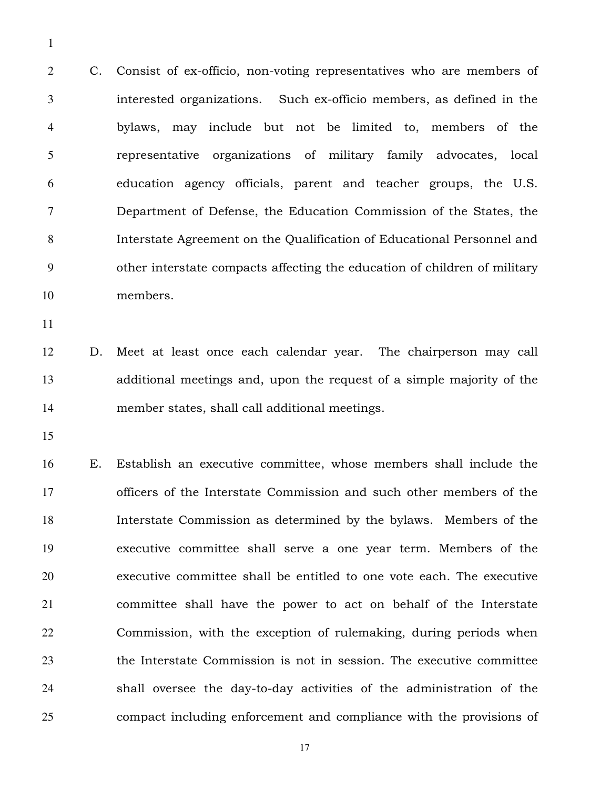C. Consist of ex-officio, non-voting representatives who are members of interested organizations. Such ex-officio members, as defined in the bylaws, may include but not be limited to, members of the representative organizations of military family advocates, local education agency officials, parent and teacher groups, the U.S. Department of Defense, the Education Commission of the States, the Interstate Agreement on the Qualification of Educational Personnel and other interstate compacts affecting the education of children of military members.

D. Meet at least once each calendar year. The chairperson may call additional meetings and, upon the request of a simple majority of the member states, shall call additional meetings.

E. Establish an executive committee, whose members shall include the officers of the Interstate Commission and such other members of the Interstate Commission as determined by the bylaws. Members of the executive committee shall serve a one year term. Members of the executive committee shall be entitled to one vote each. The executive committee shall have the power to act on behalf of the Interstate Commission, with the exception of rulemaking, during periods when the Interstate Commission is not in session. The executive committee shall oversee the day-to-day activities of the administration of the compact including enforcement and compliance with the provisions of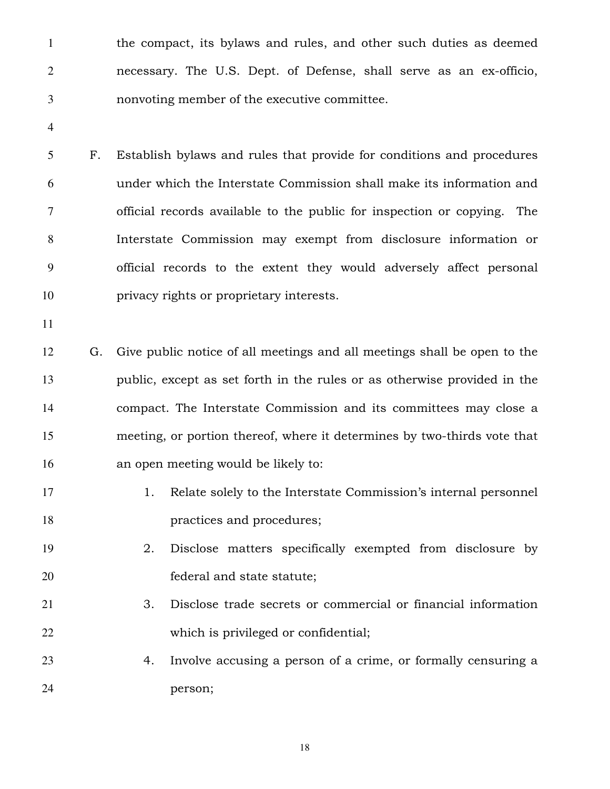the compact, its bylaws and rules, and other such duties as deemed necessary. The U.S. Dept. of Defense, shall serve as an ex-officio, nonvoting member of the executive committee.

F. Establish bylaws and rules that provide for conditions and procedures under which the Interstate Commission shall make its information and official records available to the public for inspection or copying. The Interstate Commission may exempt from disclosure information or official records to the extent they would adversely affect personal privacy rights or proprietary interests.

G. Give public notice of all meetings and all meetings shall be open to the public, except as set forth in the rules or as otherwise provided in the compact. The Interstate Commission and its committees may close a meeting, or portion thereof, where it determines by two-thirds vote that an open meeting would be likely to:

- 17 1. Relate solely to the Interstate Commission's internal personnel **practices and procedures**;
- 2. Disclose matters specifically exempted from disclosure by federal and state statute;
- 3. Disclose trade secrets or commercial or financial information which is privileged or confidential;
- 4. Involve accusing a person of a crime, or formally censuring a person;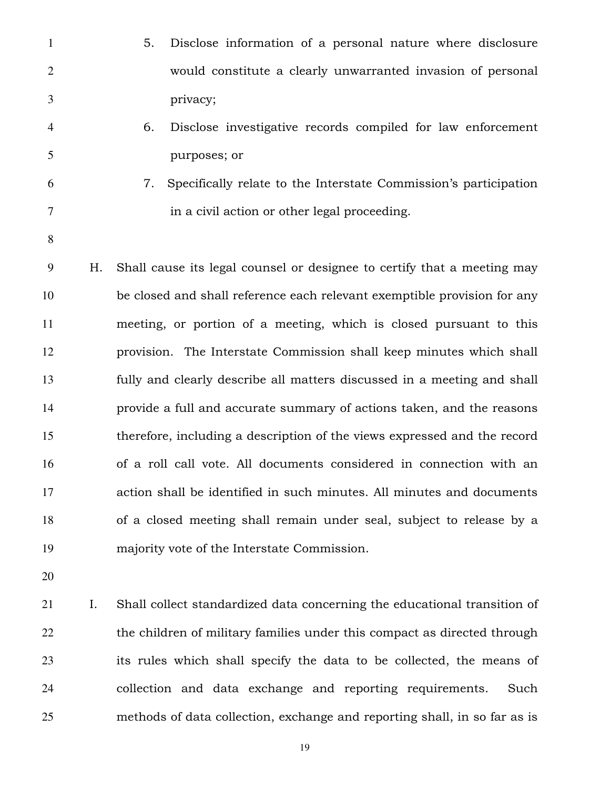- 5. Disclose information of a personal nature where disclosure would constitute a clearly unwarranted invasion of personal privacy;
- 6. Disclose investigative records compiled for law enforcement purposes; or
- 
- 7. Specifically relate to the Interstate Commission's participation in a civil action or other legal proceeding.
- 
- H. Shall cause its legal counsel or designee to certify that a meeting may be closed and shall reference each relevant exemptible provision for any meeting, or portion of a meeting, which is closed pursuant to this provision. The Interstate Commission shall keep minutes which shall fully and clearly describe all matters discussed in a meeting and shall provide a full and accurate summary of actions taken, and the reasons therefore, including a description of the views expressed and the record of a roll call vote. All documents considered in connection with an action shall be identified in such minutes. All minutes and documents of a closed meeting shall remain under seal, subject to release by a majority vote of the Interstate Commission.
- 

I. Shall collect standardized data concerning the educational transition of 22 the children of military families under this compact as directed through its rules which shall specify the data to be collected, the means of collection and data exchange and reporting requirements. Such methods of data collection, exchange and reporting shall, in so far as is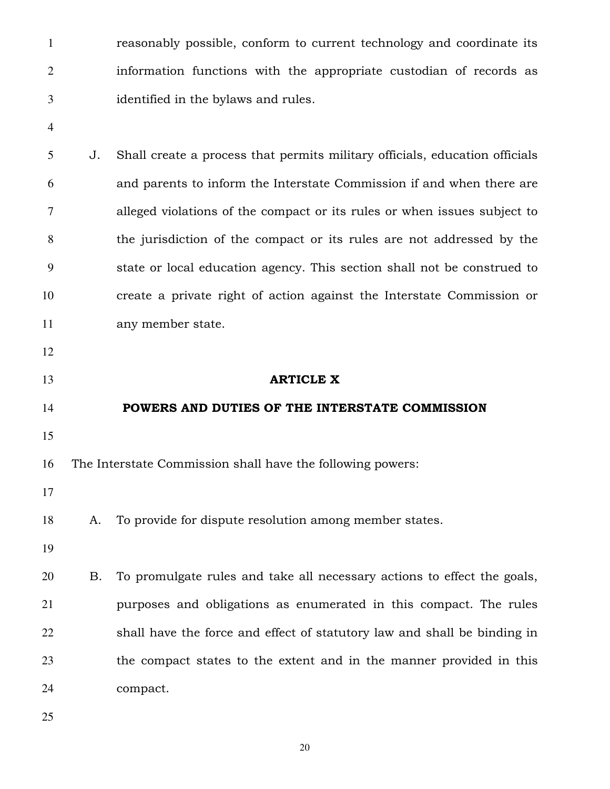reasonably possible, conform to current technology and coordinate its information functions with the appropriate custodian of records as identified in the bylaws and rules.

J. Shall create a process that permits military officials, education officials and parents to inform the Interstate Commission if and when there are alleged violations of the compact or its rules or when issues subject to the jurisdiction of the compact or its rules are not addressed by the state or local education agency. This section shall not be construed to create a private right of action against the Interstate Commission or any member state.

# **ARTICLE X**

## **POWERS AND DUTIES OF THE INTERSTATE COMMISSION**

The Interstate Commission shall have the following powers:

A. To provide for dispute resolution among member states.

B. To promulgate rules and take all necessary actions to effect the goals, purposes and obligations as enumerated in this compact. The rules shall have the force and effect of statutory law and shall be binding in the compact states to the extent and in the manner provided in this compact.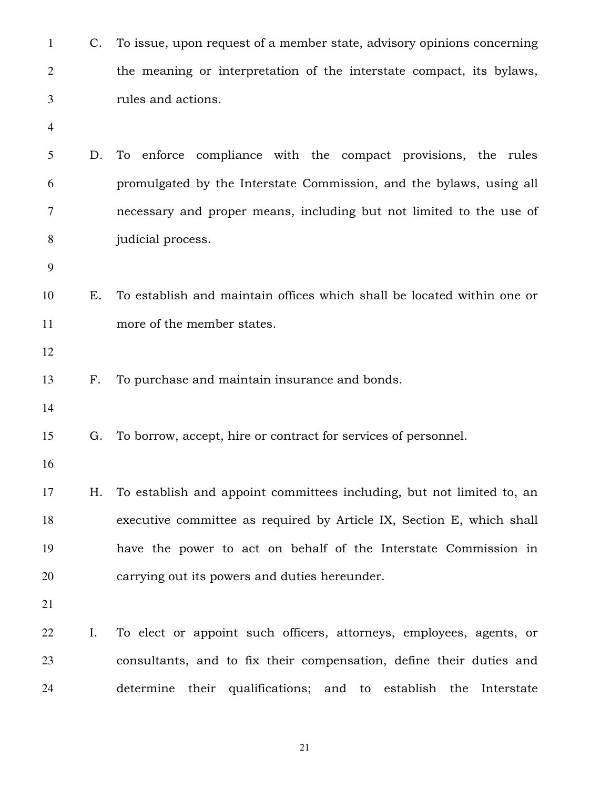| $\mathbf{1}$ | C. | To issue, upon request of a member state, advisory opinions concerning |
|--------------|----|------------------------------------------------------------------------|
| $\mathbf{2}$ |    | the meaning or interpretation of the interstate compact, its bylaws,   |
| 3            |    | rules and actions.                                                     |
| 4            |    |                                                                        |
| 5            | D. | To enforce compliance with the compact provisions, the rules           |
| 6            |    | promulgated by the Interstate Commission, and the bylaws, using all    |
| 7            |    | necessary and proper means, including but not limited to the use of    |
| 8            |    | judicial process.                                                      |
| 9            |    |                                                                        |
| 10           | Е. | To establish and maintain offices which shall be located within one or |
| 11           |    | more of the member states.                                             |
| 12           |    |                                                                        |
| 13           | F. | To purchase and maintain insurance and bonds.                          |
| 14           |    |                                                                        |
| 15           | G. | To borrow, accept, hire or contract for services of personnel.         |
| 16           |    |                                                                        |
| 17           | Η. | To establish and appoint committees including, but not limited to, an  |
| 18           |    | executive committee as required by Article IX, Section E, which shall  |
| 19           |    | have the power to act on behalf of the Interstate Commission in        |
| 20           |    | carrying out its powers and duties hereunder.                          |
| 21           |    |                                                                        |
| 22           | Ι. | To elect or appoint such officers, attorneys, employees, agents, or    |
| 23           |    | consultants, and to fix their compensation, define their duties and    |
| 24           |    | their qualifications; and to establish the<br>determine<br>Interstate  |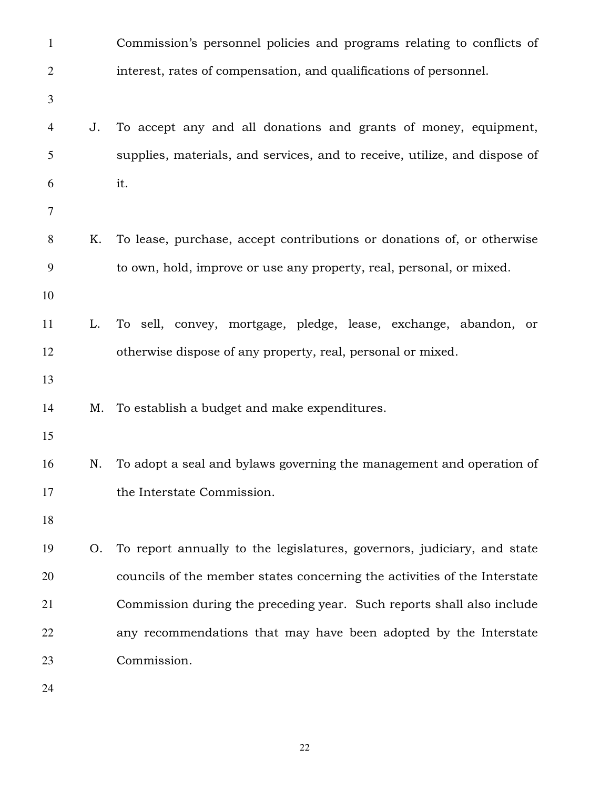| $\mathbf{1}$   |    | Commission's personnel policies and programs relating to conflicts of      |
|----------------|----|----------------------------------------------------------------------------|
| $\overline{c}$ |    | interest, rates of compensation, and qualifications of personnel.          |
| 3              |    |                                                                            |
| 4              | J. | To accept any and all donations and grants of money, equipment,            |
| 5              |    | supplies, materials, and services, and to receive, utilize, and dispose of |
| 6              |    | it.                                                                        |
| $\tau$         |    |                                                                            |
| 8              | Κ. | To lease, purchase, accept contributions or donations of, or otherwise     |
| 9              |    | to own, hold, improve or use any property, real, personal, or mixed.       |
| 10             |    |                                                                            |
| 11             | L. | To sell, convey, mortgage, pledge, lease, exchange, abandon, or            |
| 12             |    | otherwise dispose of any property, real, personal or mixed.                |
| 13             |    |                                                                            |
| 14             | Μ. | To establish a budget and make expenditures.                               |
| 15             |    |                                                                            |
| 16             | N. | To adopt a seal and bylaws governing the management and operation of       |
| 17             |    | the Interstate Commission.                                                 |
| 18             |    |                                                                            |
| 19             | O. | To report annually to the legislatures, governors, judiciary, and state    |
| 20             |    | councils of the member states concerning the activities of the Interstate  |
| 21             |    | Commission during the preceding year. Such reports shall also include      |
| 22             |    | any recommendations that may have been adopted by the Interstate           |
| 23             |    | Commission.                                                                |
| 24             |    |                                                                            |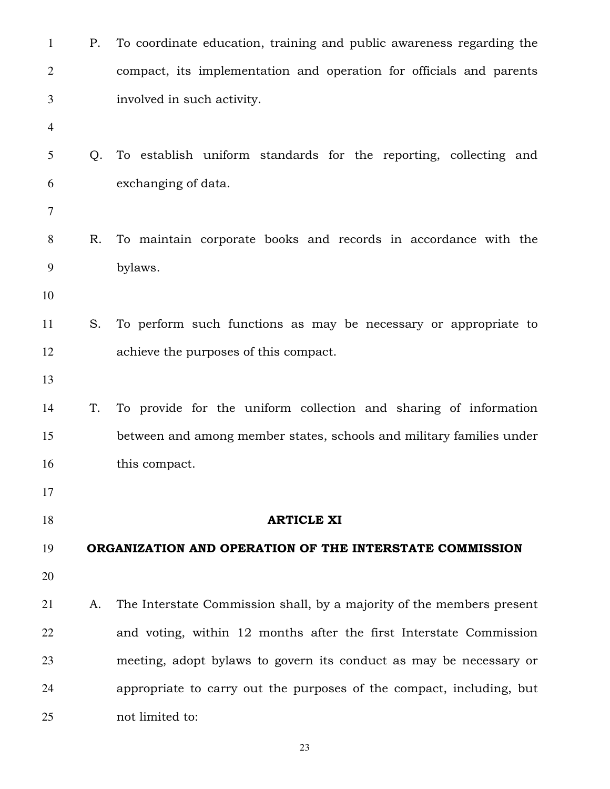| 1              | Ρ. | To coordinate education, training and public awareness regarding the  |
|----------------|----|-----------------------------------------------------------------------|
| $\overline{2}$ |    | compact, its implementation and operation for officials and parents   |
| 3              |    | involved in such activity.                                            |
| $\overline{4}$ |    |                                                                       |
| 5              | Q. | To establish uniform standards for the reporting, collecting and      |
| 6              |    | exchanging of data.                                                   |
| $\tau$         |    |                                                                       |
| 8              | R. | To maintain corporate books and records in accordance with the        |
| 9              |    | bylaws.                                                               |
| 10             |    |                                                                       |
| 11             | S. | To perform such functions as may be necessary or appropriate to       |
| 12             |    | achieve the purposes of this compact.                                 |
| 13             |    |                                                                       |
| 14             | T. | To provide for the uniform collection and sharing of information      |
| 15             |    | between and among member states, schools and military families under  |
| 16             |    | this compact.                                                         |
| 17             |    |                                                                       |
| 18             |    | <b>ARTICLE XI</b>                                                     |
| 19             |    | ORGANIZATION AND OPERATION OF THE INTERSTATE COMMISSION               |
| 20             |    |                                                                       |
| 21             | A. | The Interstate Commission shall, by a majority of the members present |
| 22             |    | and voting, within 12 months after the first Interstate Commission    |
| 23             |    | meeting, adopt bylaws to govern its conduct as may be necessary or    |
| 24             |    | appropriate to carry out the purposes of the compact, including, but  |
| 25             |    | not limited to:                                                       |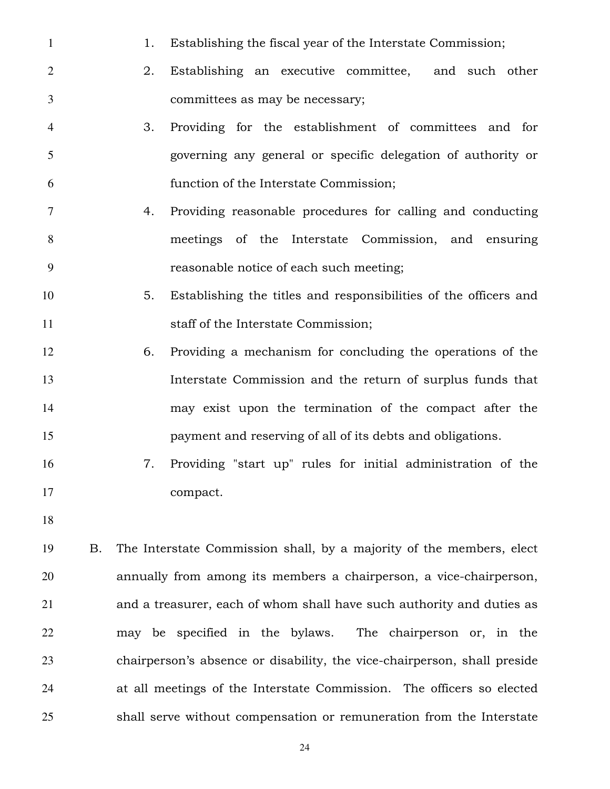- 1 1. Establishing the fiscal year of the Interstate Commission;
- 2. Establishing an executive committee, and such other committees as may be necessary;
- 3. Providing for the establishment of committees and for governing any general or specific delegation of authority or function of the Interstate Commission;
- 4. Providing reasonable procedures for calling and conducting meetings of the Interstate Commission, and ensuring reasonable notice of each such meeting;
- 5. Establishing the titles and responsibilities of the officers and 11 staff of the Interstate Commission;
- 6. Providing a mechanism for concluding the operations of the Interstate Commission and the return of surplus funds that may exist upon the termination of the compact after the payment and reserving of all of its debts and obligations.
- 7. Providing "start up" rules for initial administration of the compact.
- 

B. The Interstate Commission shall, by a majority of the members, elect annually from among its members a chairperson, a vice-chairperson, and a treasurer, each of whom shall have such authority and duties as may be specified in the bylaws. The chairperson or, in the chairperson's absence or disability, the vice-chairperson, shall preside at all meetings of the Interstate Commission. The officers so elected shall serve without compensation or remuneration from the Interstate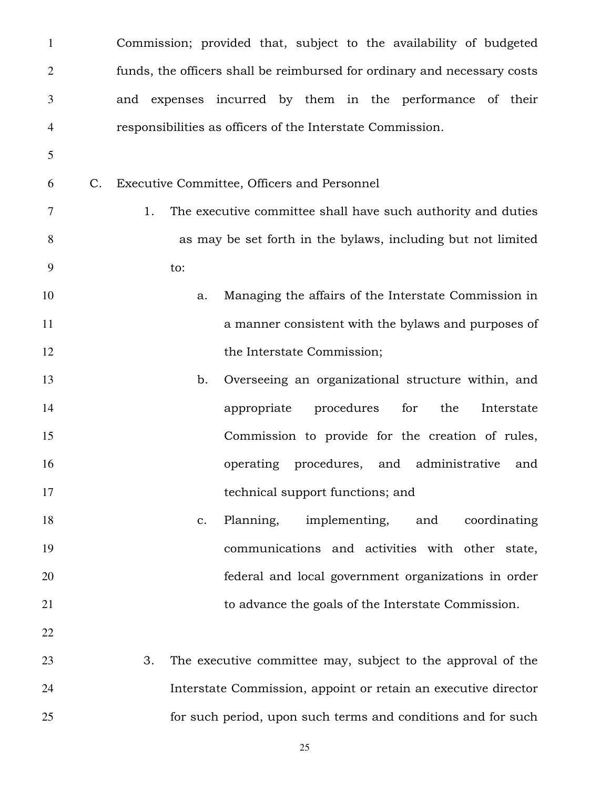| $\mathbf{1}$   |             | Commission; provided that, subject to the availability of budgeted       |
|----------------|-------------|--------------------------------------------------------------------------|
| $\overline{2}$ |             | funds, the officers shall be reimbursed for ordinary and necessary costs |
| 3              |             | and expenses incurred by them in the performance of their                |
| 4              |             | responsibilities as officers of the Interstate Commission.               |
| 5              |             |                                                                          |
| 6              | $C_{\cdot}$ | Executive Committee, Officers and Personnel                              |
| 7              |             | The executive committee shall have such authority and duties<br>1.       |
| $8\,$          |             | as may be set forth in the bylaws, including but not limited             |
| 9              |             | to:                                                                      |
| 10             |             | Managing the affairs of the Interstate Commission in<br>a.               |
| 11             |             | a manner consistent with the bylaws and purposes of                      |
| 12             |             | the Interstate Commission;                                               |
| 13             |             | Overseeing an organizational structure within, and<br>b.                 |
| 14             |             | procedures<br>appropriate<br>for<br>the<br>Interstate                    |
| 15             |             | Commission to provide for the creation of rules,                         |
| 16             |             | operating procedures, and administrative and                             |
| 17             |             | technical support functions; and                                         |
| 18             |             | implementing, and<br>Planning,<br>coordinating<br>$\mathbf{c}$ .         |
| 19             |             | communications and activities with other state,                          |
| 20             |             | federal and local government organizations in order                      |
| 21             |             | to advance the goals of the Interstate Commission.                       |
| 22             |             |                                                                          |
| 23             |             | The executive committee may, subject to the approval of the<br>3.        |

Interstate Commission, appoint or retain an executive director for such period, upon such terms and conditions and for such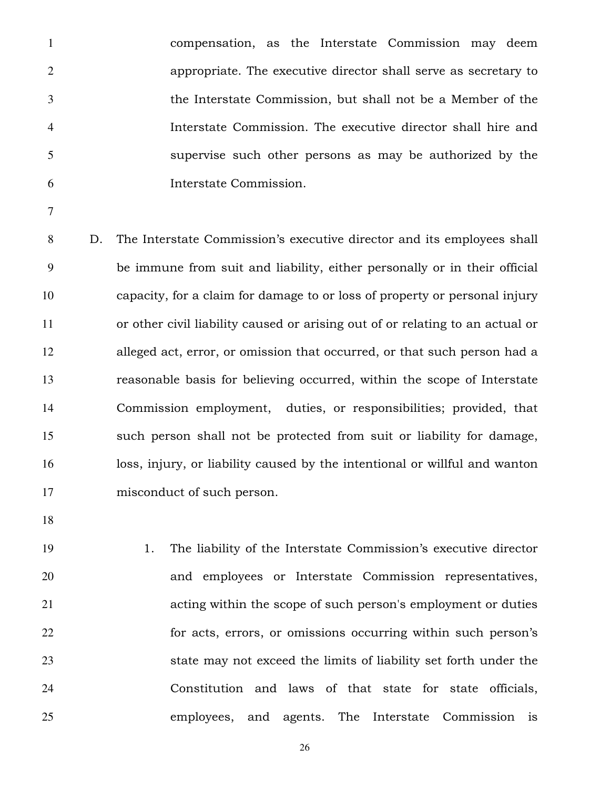compensation, as the Interstate Commission may deem appropriate. The executive director shall serve as secretary to the Interstate Commission, but shall not be a Member of the Interstate Commission. The executive director shall hire and supervise such other persons as may be authorized by the Interstate Commission.

D. The Interstate Commission's executive director and its employees shall be immune from suit and liability, either personally or in their official capacity, for a claim for damage to or loss of property or personal injury or other civil liability caused or arising out of or relating to an actual or alleged act, error, or omission that occurred, or that such person had a reasonable basis for believing occurred, within the scope of Interstate Commission employment, duties, or responsibilities; provided, that such person shall not be protected from suit or liability for damage, loss, injury, or liability caused by the intentional or willful and wanton misconduct of such person.

1. The liability of the Interstate Commission's executive director and employees or Interstate Commission representatives, acting within the scope of such person's employment or duties for acts, errors, or omissions occurring within such person's state may not exceed the limits of liability set forth under the Constitution and laws of that state for state officials, employees, and agents. The Interstate Commission is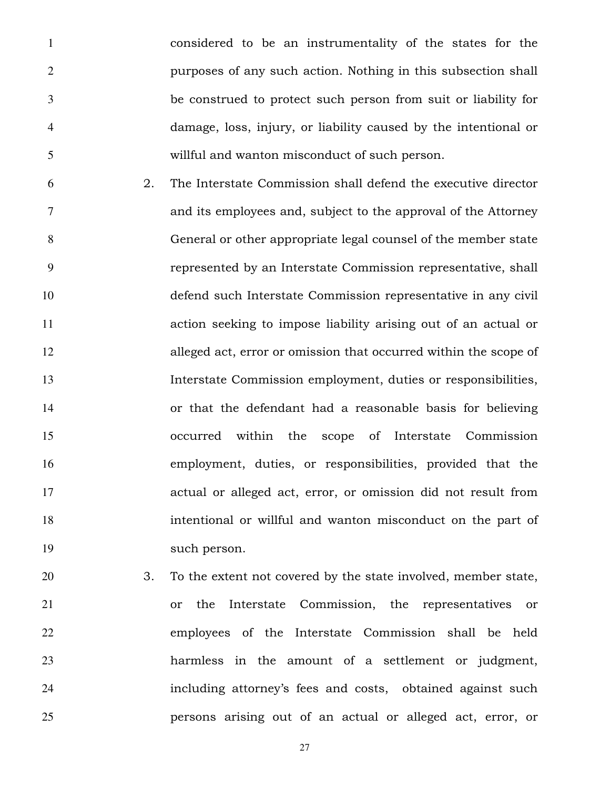considered to be an instrumentality of the states for the purposes of any such action. Nothing in this subsection shall be construed to protect such person from suit or liability for damage, loss, injury, or liability caused by the intentional or willful and wanton misconduct of such person.

- 2. The Interstate Commission shall defend the executive director and its employees and, subject to the approval of the Attorney General or other appropriate legal counsel of the member state represented by an Interstate Commission representative, shall defend such Interstate Commission representative in any civil action seeking to impose liability arising out of an actual or alleged act, error or omission that occurred within the scope of Interstate Commission employment, duties or responsibilities, or that the defendant had a reasonable basis for believing occurred within the scope of Interstate Commission employment, duties, or responsibilities, provided that the actual or alleged act, error, or omission did not result from intentional or willful and wanton misconduct on the part of such person.
- 3. To the extent not covered by the state involved, member state, or the Interstate Commission, the representatives or employees of the Interstate Commission shall be held harmless in the amount of a settlement or judgment, including attorney's fees and costs, obtained against such persons arising out of an actual or alleged act, error, or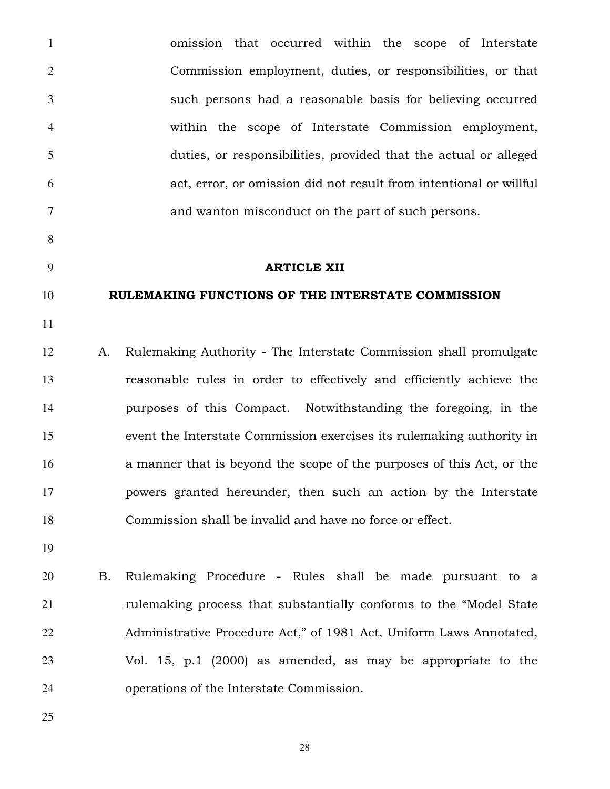omission that occurred within the scope of Interstate Commission employment, duties, or responsibilities, or that such persons had a reasonable basis for believing occurred within the scope of Interstate Commission employment, duties, or responsibilities, provided that the actual or alleged act, error, or omission did not result from intentional or willful and wanton misconduct on the part of such persons. **ARTICLE XII** 10 RULEMAKING FUNCTIONS OF THE INTERSTATE COMMISSION A. Rulemaking Authority - The Interstate Commission shall promulgate reasonable rules in order to effectively and efficiently achieve the purposes of this Compact. Notwithstanding the foregoing, in the event the Interstate Commission exercises its rulemaking authority in a manner that is beyond the scope of the purposes of this Act, or the powers granted hereunder, then such an action by the Interstate Commission shall be invalid and have no force or effect. B. Rulemaking Procedure - Rules shall be made pursuant to a rulemaking process that substantially conforms to the "Model State

Administrative Procedure Act," of 1981 Act, Uniform Laws Annotated, Vol. 15, p.1 (2000) as amended, as may be appropriate to the operations of the Interstate Commission.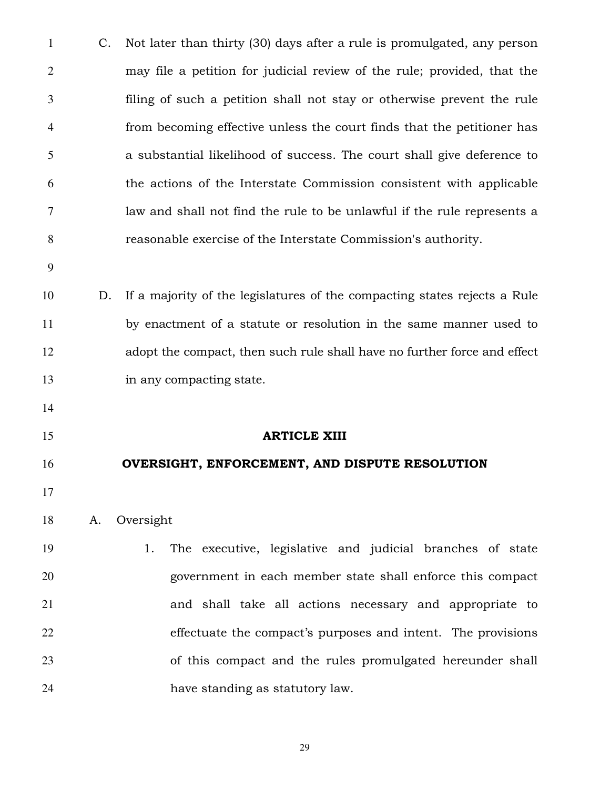| $\mathbf{1}$   | C. | Not later than thirty (30) days after a rule is promulgated, any person   |
|----------------|----|---------------------------------------------------------------------------|
| $\overline{2}$ |    | may file a petition for judicial review of the rule; provided, that the   |
| 3              |    | filing of such a petition shall not stay or otherwise prevent the rule    |
| 4              |    | from becoming effective unless the court finds that the petitioner has    |
| 5              |    | a substantial likelihood of success. The court shall give deference to    |
| 6              |    | the actions of the Interstate Commission consistent with applicable       |
| 7              |    | law and shall not find the rule to be unlawful if the rule represents a   |
| 8              |    | reasonable exercise of the Interstate Commission's authority.             |
| 9              |    |                                                                           |
| 10             | D. | If a majority of the legislatures of the compacting states rejects a Rule |
| 11             |    | by enactment of a statute or resolution in the same manner used to        |
| 12             |    | adopt the compact, then such rule shall have no further force and effect  |
| 13             |    | in any compacting state.                                                  |
| 14             |    |                                                                           |
| 15             |    | <b>ARTICLE XIII</b>                                                       |
| 16             |    | OVERSIGHT, ENFORCEMENT, AND DISPUTE RESOLUTION                            |
| 17             |    |                                                                           |
| 18             | A. | Oversight                                                                 |
| 19             |    | The executive, legislative and judicial branches of state<br>1.           |
| 20             |    | government in each member state shall enforce this compact                |
| 21             |    | and shall take all actions necessary and appropriate to                   |
| 22             |    | effectuate the compact's purposes and intent. The provisions              |
| 23             |    | of this compact and the rules promulgated hereunder shall                 |
| 24             |    | have standing as statutory law.                                           |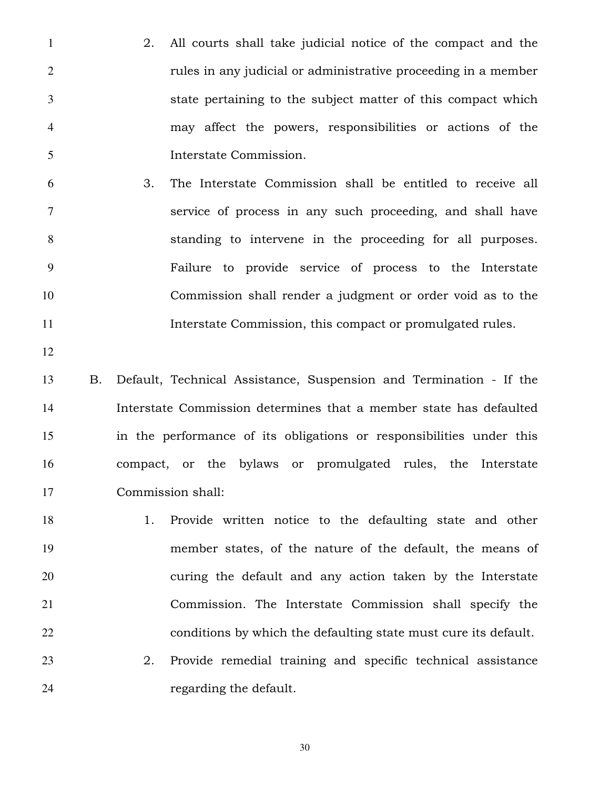- 2. All courts shall take judicial notice of the compact and the rules in any judicial or administrative proceeding in a member state pertaining to the subject matter of this compact which may affect the powers, responsibilities or actions of the Interstate Commission.
- 3. The Interstate Commission shall be entitled to receive all service of process in any such proceeding, and shall have standing to intervene in the proceeding for all purposes. Failure to provide service of process to the Interstate Commission shall render a judgment or order void as to the Interstate Commission, this compact or promulgated rules.
- 

B. Default, Technical Assistance, Suspension and Termination - If the Interstate Commission determines that a member state has defaulted in the performance of its obligations or responsibilities under this compact, or the bylaws or promulgated rules, the Interstate Commission shall:

1. Provide written notice to the defaulting state and other member states, of the nature of the default, the means of curing the default and any action taken by the Interstate Commission. The Interstate Commission shall specify the conditions by which the defaulting state must cure its default. 2. Provide remedial training and specific technical assistance

24 regarding the default.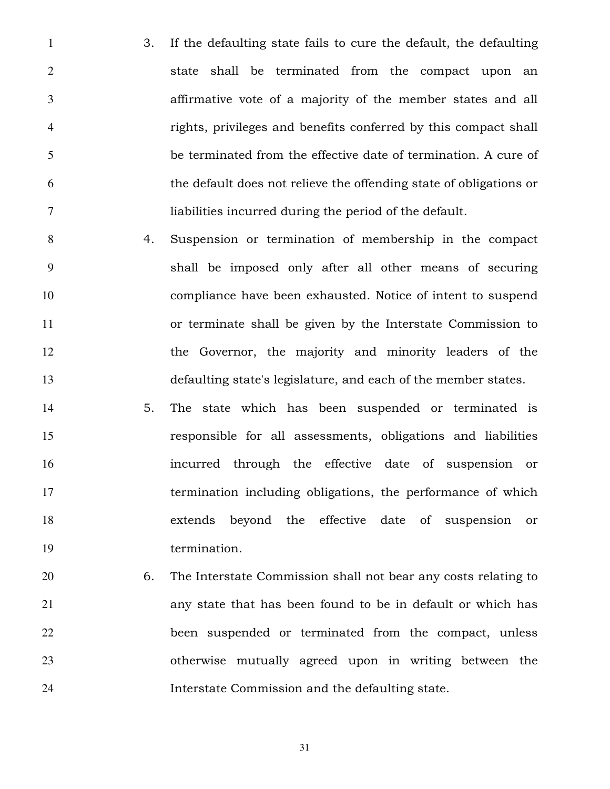3. If the defaulting state fails to cure the default, the defaulting state shall be terminated from the compact upon an affirmative vote of a majority of the member states and all rights, privileges and benefits conferred by this compact shall be terminated from the effective date of termination. A cure of the default does not relieve the offending state of obligations or liabilities incurred during the period of the default.

4. Suspension or termination of membership in the compact shall be imposed only after all other means of securing compliance have been exhausted. Notice of intent to suspend or terminate shall be given by the Interstate Commission to the Governor, the majority and minority leaders of the defaulting state's legislature, and each of the member states.

5. The state which has been suspended or terminated is responsible for all assessments, obligations and liabilities incurred through the effective date of suspension or termination including obligations, the performance of which extends beyond the effective date of suspension or 19 termination.

6. The Interstate Commission shall not bear any costs relating to any state that has been found to be in default or which has been suspended or terminated from the compact, unless otherwise mutually agreed upon in writing between the Interstate Commission and the defaulting state.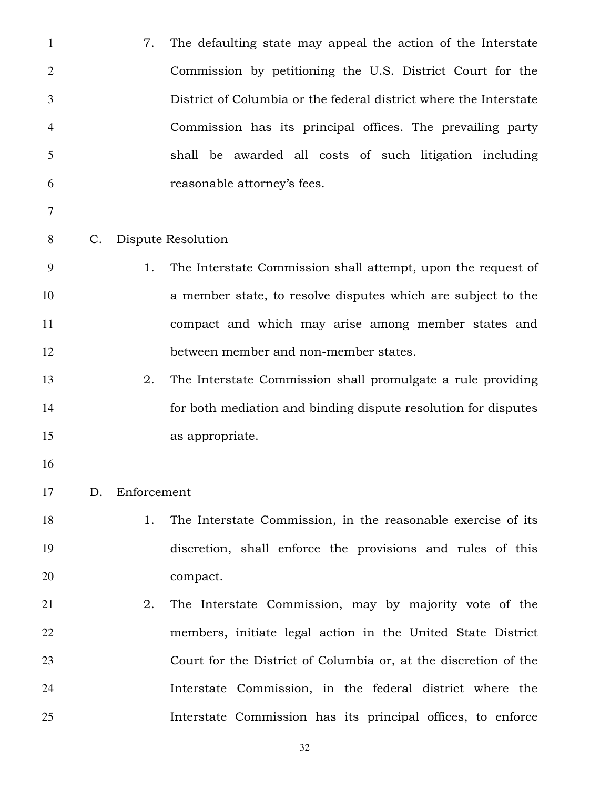| $\mathbf{1}$   |             | 7.          | The defaulting state may appeal the action of the Interstate      |
|----------------|-------------|-------------|-------------------------------------------------------------------|
| $\overline{2}$ |             |             | Commission by petitioning the U.S. District Court for the         |
| 3              |             |             | District of Columbia or the federal district where the Interstate |
| 4              |             |             | Commission has its principal offices. The prevailing party        |
| 5              |             |             | shall be awarded all costs of such litigation including           |
| 6              |             |             | reasonable attorney's fees.                                       |
| 7              |             |             |                                                                   |
| 8              | $C_{\cdot}$ |             | Dispute Resolution                                                |
| 9              |             | 1.          | The Interstate Commission shall attempt, upon the request of      |
| 10             |             |             | a member state, to resolve disputes which are subject to the      |
| 11             |             |             | compact and which may arise among member states and               |
| 12             |             |             | between member and non-member states.                             |
| 13             |             | 2.          | The Interstate Commission shall promulgate a rule providing       |
| 14             |             |             | for both mediation and binding dispute resolution for disputes    |
| 15             |             |             | as appropriate.                                                   |
| 16             |             |             |                                                                   |
| 17             | D.          | Enforcement |                                                                   |
| 18             |             | 1.          | The Interstate Commission, in the reasonable exercise of its      |
| 19             |             |             | discretion, shall enforce the provisions and rules of this        |
| 20             |             |             | compact.                                                          |
| 21             |             | 2.          | The Interstate Commission, may by majority vote of the            |
| 22             |             |             | members, initiate legal action in the United State District       |
| 23             |             |             | Court for the District of Columbia or, at the discretion of the   |
| 24             |             |             | Interstate Commission, in the federal district where the          |
| 25             |             |             | Interstate Commission has its principal offices, to enforce       |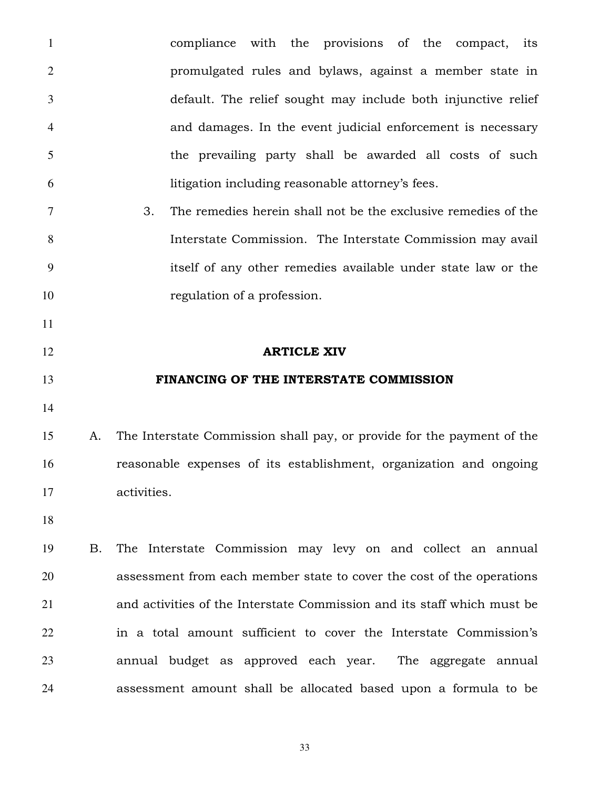compliance with the provisions of the compact, its promulgated rules and bylaws, against a member state in default. The relief sought may include both injunctive relief and damages. In the event judicial enforcement is necessary the prevailing party shall be awarded all costs of such litigation including reasonable attorney's fees. 3. The remedies herein shall not be the exclusive remedies of the Interstate Commission. The Interstate Commission may avail itself of any other remedies available under state law or the 10 regulation of a profession. **ARTICLE XIV FINANCING OF THE INTERSTATE COMMISSION**  A. The Interstate Commission shall pay, or provide for the payment of the reasonable expenses of its establishment, organization and ongoing activities. B. The Interstate Commission may levy on and collect an annual assessment from each member state to cover the cost of the operations and activities of the Interstate Commission and its staff which must be in a total amount sufficient to cover the Interstate Commission's annual budget as approved each year. The aggregate annual assessment amount shall be allocated based upon a formula to be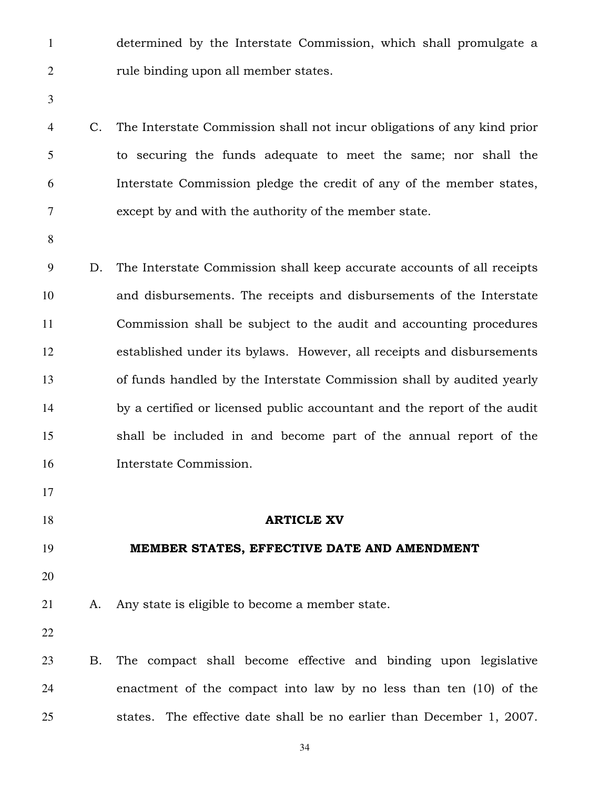- determined by the Interstate Commission, which shall promulgate a 2 rule binding upon all member states.
- 
- C. The Interstate Commission shall not incur obligations of any kind prior to securing the funds adequate to meet the same; nor shall the Interstate Commission pledge the credit of any of the member states, except by and with the authority of the member state.
- 

D. The Interstate Commission shall keep accurate accounts of all receipts and disbursements. The receipts and disbursements of the Interstate Commission shall be subject to the audit and accounting procedures established under its bylaws. However, all receipts and disbursements of funds handled by the Interstate Commission shall by audited yearly by a certified or licensed public accountant and the report of the audit shall be included in and become part of the annual report of the Interstate Commission.

- 
- 
- **ARTICLE XV**

## MEMBER STATES, EFFECTIVE DATE AND AMENDMENT

A. Any state is eligible to become a member state.

B. The compact shall become effective and binding upon legislative enactment of the compact into law by no less than ten (10) of the states. The effective date shall be no earlier than December 1, 2007.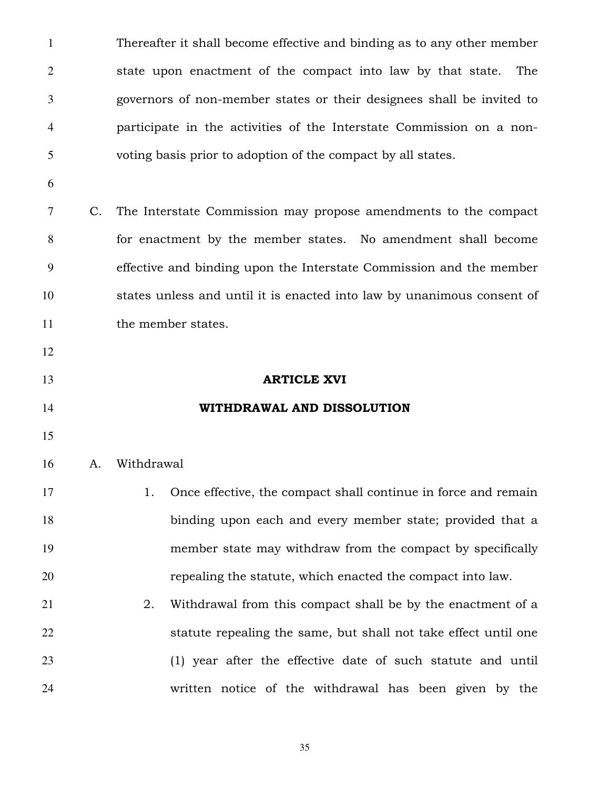Thereafter it shall become effective and binding as to any other member state upon enactment of the compact into law by that state. The governors of non-member states or their designees shall be invited to participate in the activities of the Interstate Commission on a non-voting basis prior to adoption of the compact by all states.

C. The Interstate Commission may propose amendments to the compact for enactment by the member states. No amendment shall become effective and binding upon the Interstate Commission and the member states unless and until it is enacted into law by unanimous consent of 11 the member states.

- 
- 
- 

## **ARTICLE XVI**

# **WITHDRAWAL AND DISSOLUTION**

#### A. Withdrawal

| 17 |    | 1. Once effective, the compact shall continue in force and remain |
|----|----|-------------------------------------------------------------------|
| 18 |    | binding upon each and every member state; provided that a         |
| 19 |    | member state may withdraw from the compact by specifically        |
| 20 |    | repealing the statute, which enacted the compact into law.        |
| 21 | 2. | Withdrawal from this compact shall be by the enactment of a       |
| 22 |    | statute repealing the same, but shall not take effect until one   |

(1) year after the effective date of such statute and until written notice of the withdrawal has been given by the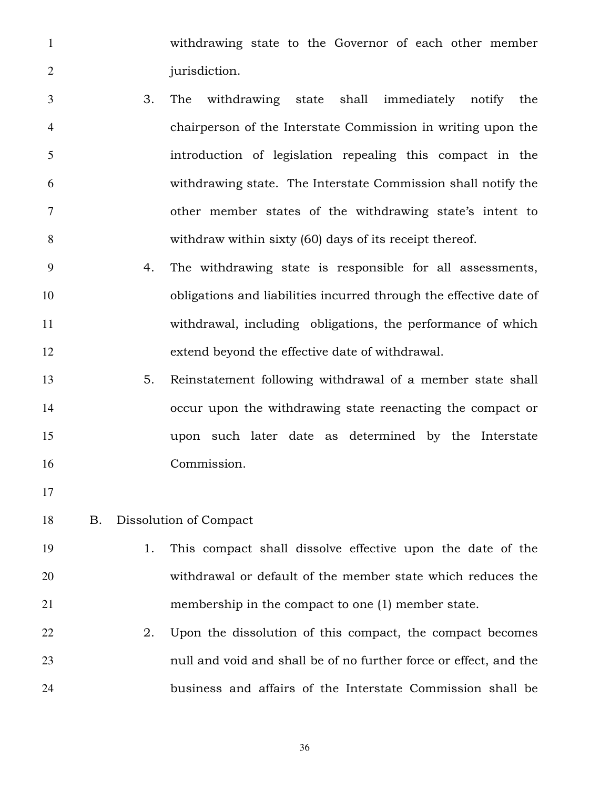withdrawing state to the Governor of each other member 2 jurisdiction.

- 3. The withdrawing state shall immediately notify the chairperson of the Interstate Commission in writing upon the introduction of legislation repealing this compact in the withdrawing state. The Interstate Commission shall notify the other member states of the withdrawing state's intent to withdraw within sixty (60) days of its receipt thereof.
- 4. The withdrawing state is responsible for all assessments, obligations and liabilities incurred through the effective date of withdrawal, including obligations, the performance of which extend beyond the effective date of withdrawal.
- 5. Reinstatement following withdrawal of a member state shall occur upon the withdrawing state reenacting the compact or upon such later date as determined by the Interstate Commission.
- 
- B. Dissolution of Compact

# 1. This compact shall dissolve effective upon the date of the withdrawal or default of the member state which reduces the membership in the compact to one (1) member state.

22 2. Upon the dissolution of this compact, the compact becomes null and void and shall be of no further force or effect, and the business and affairs of the Interstate Commission shall be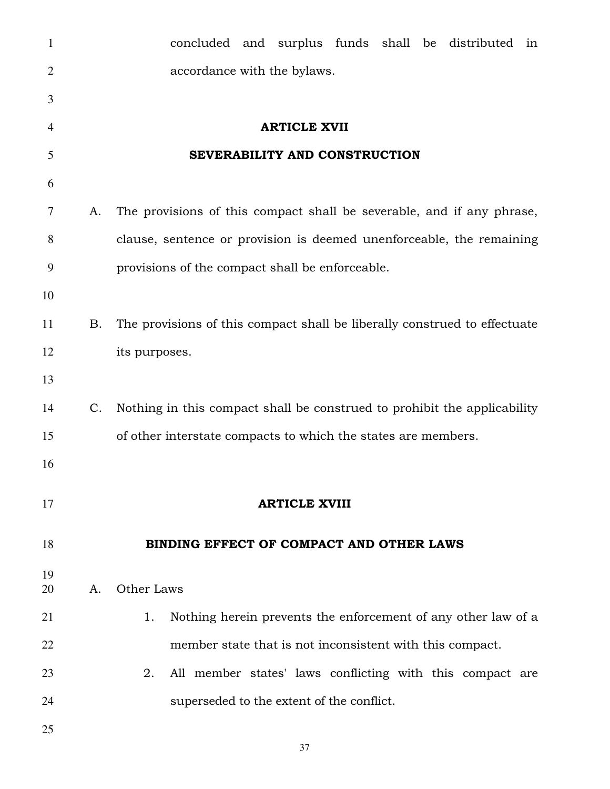| $\mathbf{1}$   |             | concluded and surplus funds shall be distributed in                       |
|----------------|-------------|---------------------------------------------------------------------------|
| $\overline{2}$ |             | accordance with the bylaws.                                               |
| 3              |             |                                                                           |
| $\overline{4}$ |             | <b>ARTICLE XVII</b>                                                       |
| 5              |             | SEVERABILITY AND CONSTRUCTION                                             |
| 6              |             |                                                                           |
| 7              | A.          | The provisions of this compact shall be severable, and if any phrase,     |
| 8              |             | clause, sentence or provision is deemed unenforceable, the remaining      |
| 9              |             | provisions of the compact shall be enforceable.                           |
| 10             |             |                                                                           |
| 11             | Β.          | The provisions of this compact shall be liberally construed to effectuate |
| 12             |             | its purposes.                                                             |
| 13             |             |                                                                           |
| 14             | $C_{\cdot}$ | Nothing in this compact shall be construed to prohibit the applicability  |
| 15             |             | of other interstate compacts to which the states are members.             |
| 16             |             |                                                                           |
| 17             |             | <b>ARTICLE XVIII</b>                                                      |
| 18             |             | BINDING EFFECT OF COMPACT AND OTHER LAWS                                  |
| 19<br>20       | A.          | Other Laws                                                                |
| 21             |             | 1.<br>Nothing herein prevents the enforcement of any other law of a       |
| 22             |             | member state that is not inconsistent with this compact.                  |
| 23             |             | All member states' laws conflicting with this compact are<br>2.           |
| 24             |             | superseded to the extent of the conflict.                                 |
| 25             |             |                                                                           |